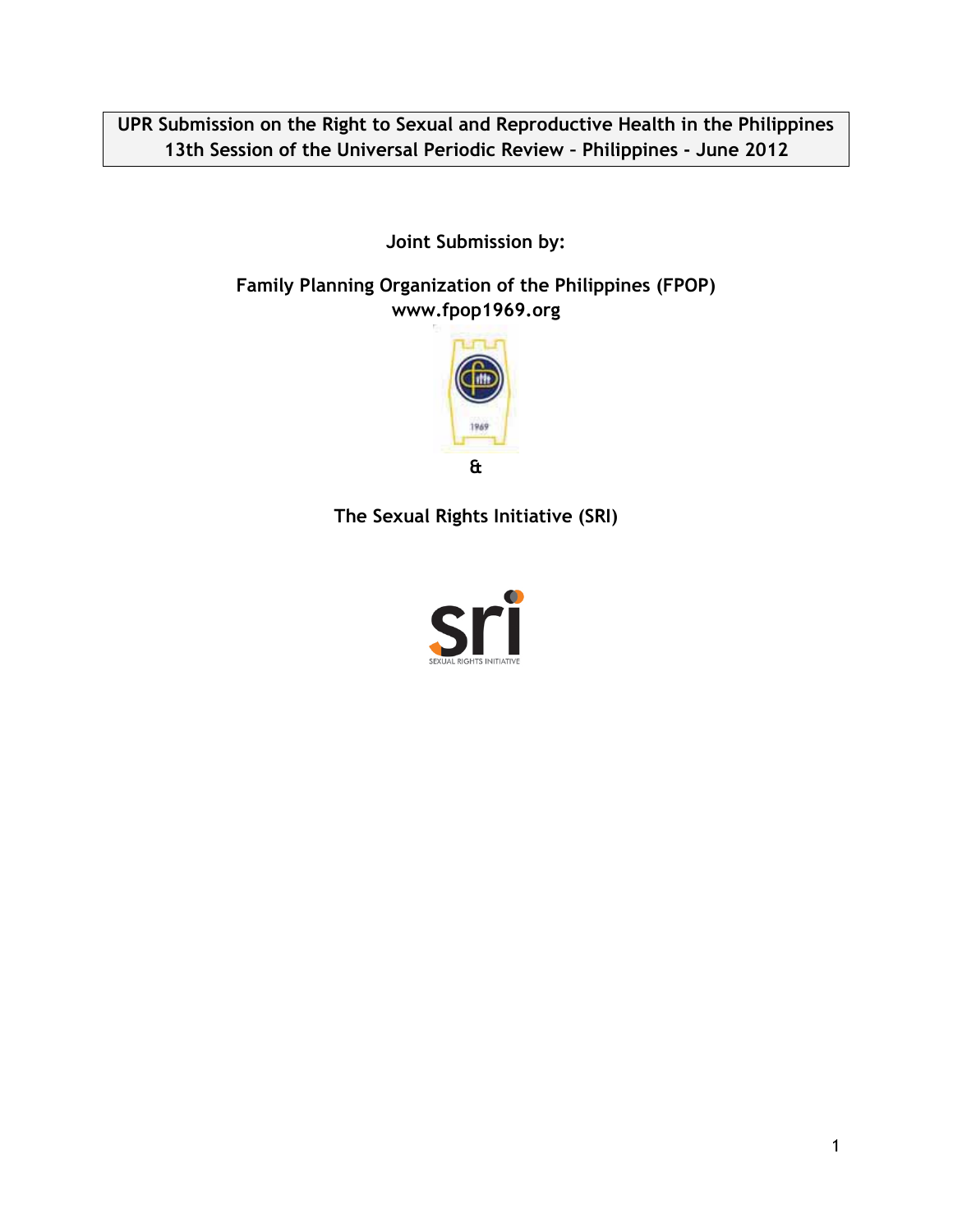**UPR Submission on the Right to Sexual and Reproductive Health in the Philippines 13th Session of the Universal Periodic Review – Philippines - June 2012**

**Joint Submission by:**

**Family Planning Organization of the Philippines (FPOP) www.fpop1969.org**



**The Sexual Rights Initiative (SRI)**

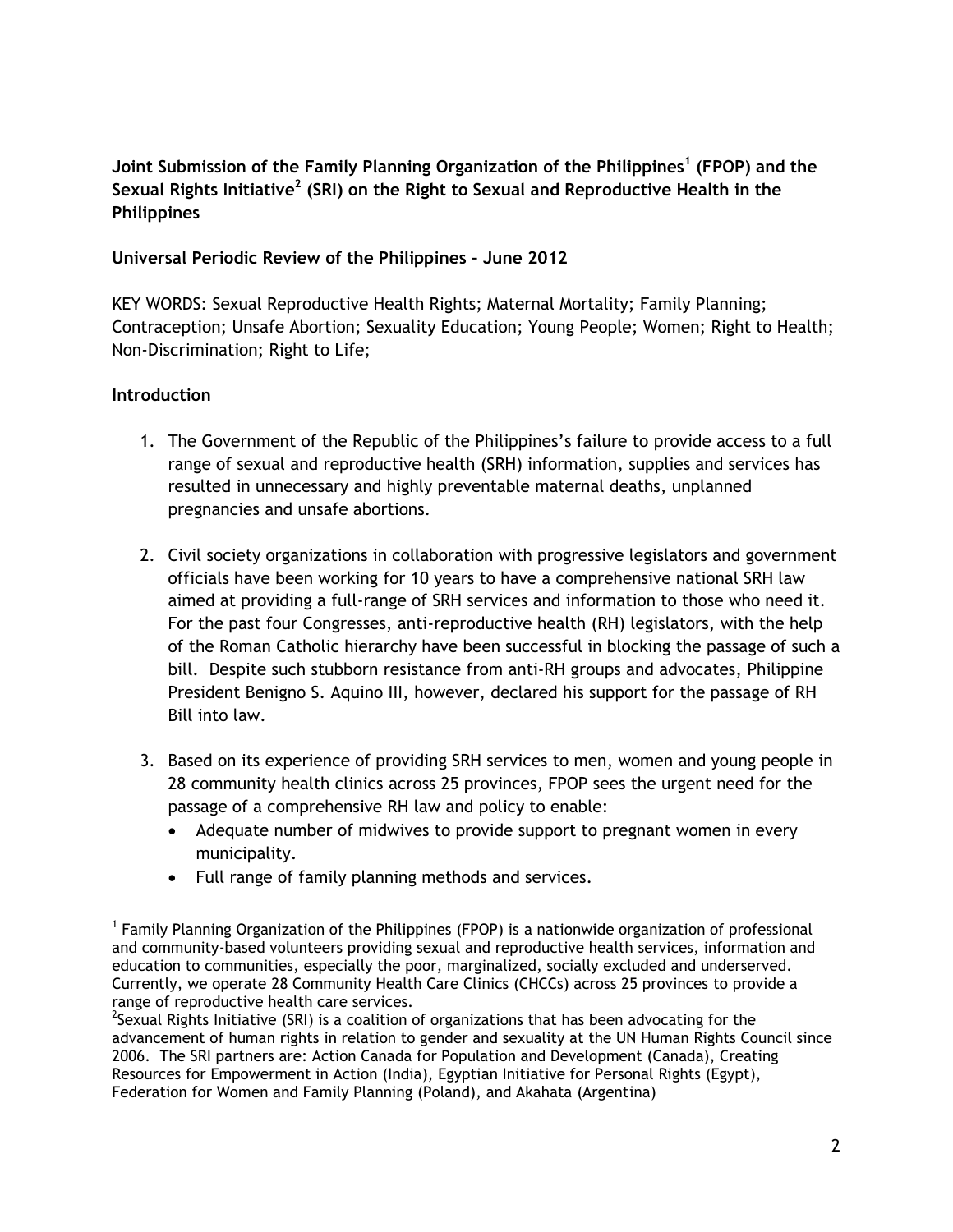**Joint Submission of the Family Planning Organization of the Philippines<sup>1</sup> (FPOP) and the Sexual Rights Initiative<sup>2</sup> (SRI) on the Right to Sexual and Reproductive Health in the Philippines** 

## **Universal Periodic Review of the Philippines – June 2012**

KEY WORDS: Sexual Reproductive Health Rights; Maternal Mortality; Family Planning; Contraception; Unsafe Abortion; Sexuality Education; Young People; Women; Right to Health; Non-Discrimination; Right to Life;

# **Introduction**

- 1. The Government of the Republic of the Philippines's failure to provide access to a full range of sexual and reproductive health (SRH) information, supplies and services has resulted in unnecessary and highly preventable maternal deaths, unplanned pregnancies and unsafe abortions.
- 2. Civil society organizations in collaboration with progressive legislators and government officials have been working for 10 years to have a comprehensive national SRH law aimed at providing a full-range of SRH services and information to those who need it. For the past four Congresses, anti-reproductive health (RH) legislators, with the help of the Roman Catholic hierarchy have been successful in blocking the passage of such a bill. Despite such stubborn resistance from anti-RH groups and advocates, Philippine President Benigno S. Aquino III, however, declared his support for the passage of RH Bill into law.
- 3. Based on its experience of providing SRH services to men, women and young people in 28 community health clinics across 25 provinces, FPOP sees the urgent need for the passage of a comprehensive RH law and policy to enable:
	- Adequate number of midwives to provide support to pregnant women in every municipality.
	- Full range of family planning methods and services.

<sup>&</sup>lt;sup>1</sup> Family Planning Organization of the Philippines (FPOP) is a nationwide organization of professional and community-based volunteers providing sexual and reproductive health services, information and education to communities, especially the poor, marginalized, socially excluded and underserved. Currently, we operate 28 Community Health Care Clinics (CHCCs) across 25 provinces to provide a range of reproductive health care services.

<sup>&</sup>lt;sup>2</sup>Sexual Rights Initiative (SRI) is a coalition of organizations that has been advocating for the advancement of human rights in relation to gender and sexuality at the UN Human Rights Council since 2006. The SRI partners are: Action Canada for Population and Development (Canada), Creating Resources for Empowerment in Action (India), Egyptian Initiative for Personal Rights (Egypt), Federation for Women and Family Planning (Poland), and Akahata (Argentina)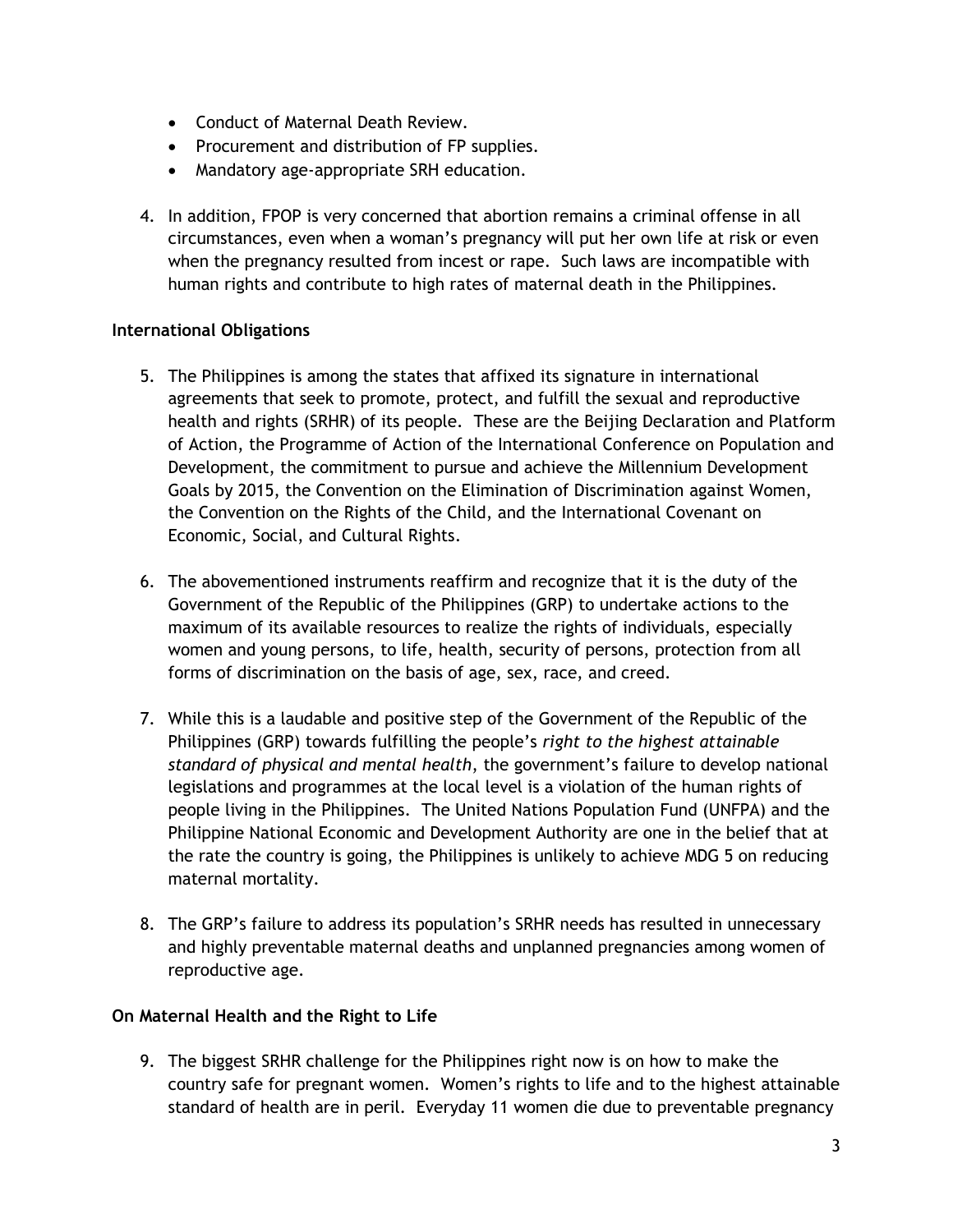- Conduct of Maternal Death Review.
- Procurement and distribution of FP supplies.
- Mandatory age-appropriate SRH education.
- 4. In addition, FPOP is very concerned that abortion remains a criminal offense in all circumstances, even when a woman's pregnancy will put her own life at risk or even when the pregnancy resulted from incest or rape. Such laws are incompatible with human rights and contribute to high rates of maternal death in the Philippines.

## **International Obligations**

- 5. The Philippines is among the states that affixed its signature in international agreements that seek to promote, protect, and fulfill the sexual and reproductive health and rights (SRHR) of its people. These are the Beijing Declaration and Platform of Action, the Programme of Action of the International Conference on Population and Development, the commitment to pursue and achieve the Millennium Development Goals by 2015, the Convention on the Elimination of Discrimination against Women, the Convention on the Rights of the Child, and the International Covenant on Economic, Social, and Cultural Rights.
- 6. The abovementioned instruments reaffirm and recognize that it is the duty of the Government of the Republic of the Philippines (GRP) to undertake actions to the maximum of its available resources to realize the rights of individuals, especially women and young persons, to life, health, security of persons, protection from all forms of discrimination on the basis of age, sex, race, and creed.
- 7. While this is a laudable and positive step of the Government of the Republic of the Philippines (GRP) towards fulfilling the people's *right to the highest attainable standard of physical and mental health*, the government's failure to develop national legislations and programmes at the local level is a violation of the human rights of people living in the Philippines. The United Nations Population Fund (UNFPA) and the Philippine National Economic and Development Authority are one in the belief that at the rate the country is going, the Philippines is unlikely to achieve MDG 5 on reducing maternal mortality.
- 8. The GRP's failure to address its population's SRHR needs has resulted in unnecessary and highly preventable maternal deaths and unplanned pregnancies among women of reproductive age.

## **On Maternal Health and the Right to Life**

9. The biggest SRHR challenge for the Philippines right now is on how to make the country safe for pregnant women. Women's rights to life and to the highest attainable standard of health are in peril. Everyday 11 women die due to preventable pregnancy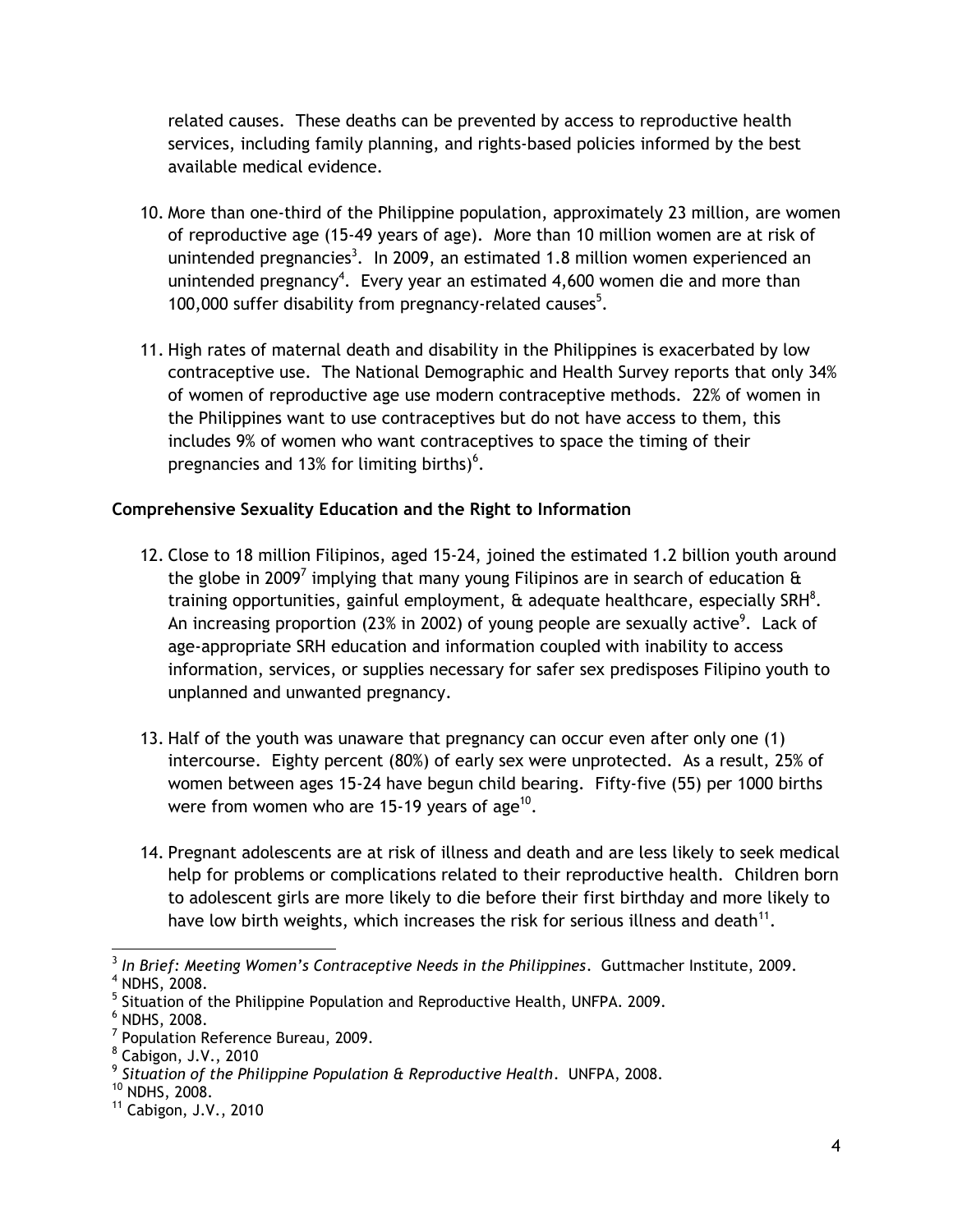related causes. These deaths can be prevented by access to reproductive health services, including family planning, and rights-based policies informed by the best available medical evidence.

- 10. More than one-third of the Philippine population, approximately 23 million, are women of reproductive age (15-49 years of age). More than 10 million women are at risk of unintended pregnancies<sup>3</sup>. In 2009, an estimated 1.8 million women experienced an unintended pregnancy<sup>4</sup>. Every year an estimated 4,600 women die and more than 100,000 suffer disability from pregnancy-related causes<sup>5</sup>.
- 11. High rates of maternal death and disability in the Philippines is exacerbated by low contraceptive use. The National Demographic and Health Survey reports that only 34% of women of reproductive age use modern contraceptive methods. 22% of women in the Philippines want to use contraceptives but do not have access to them, this includes 9% of women who want contraceptives to space the timing of their pregnancies and 13% for limiting births) $<sup>6</sup>$ .</sup>

# **Comprehensive Sexuality Education and the Right to Information**

- 12. Close to 18 million Filipinos, aged 15-24, joined the estimated 1.2 billion youth around the globe in 2009<sup>7</sup> implying that many young Filipinos are in search of education  $\mathbf{\hat{a}}$ training opportunities, gainful employment,  $\theta$  adequate healthcare, especially SRH<sup>8</sup>. An increasing proportion (23% in 2002) of young people are sexually active $^9$ . Lack of age-appropriate SRH education and information coupled with inability to access information, services, or supplies necessary for safer sex predisposes Filipino youth to unplanned and unwanted pregnancy.
- 13. Half of the youth was unaware that pregnancy can occur even after only one (1) intercourse. Eighty percent (80%) of early sex were unprotected. As a result, 25% of women between ages 15-24 have begun child bearing. Fifty-five (55) per 1000 births were from women who are 15-19 years of age<sup>10</sup>.
- 14. Pregnant adolescents are at risk of illness and death and are less likely to seek medical help for problems or complications related to their reproductive health. Children born to adolescent girls are more likely to die before their first birthday and more likely to have low birth weights, which increases the risk for serious illness and death $^{11}$ .

 3 *In Brief: Meeting Women's Contraceptive Needs in the Philippines*. Guttmacher Institute, 2009. <sup>4</sup> NDHS, 2008.

<sup>&</sup>lt;sup>5</sup> Situation of the Philippine Population and Reproductive Health, UNFPA. 2009.

<sup>6</sup> NDHS, 2008.

<sup>&</sup>lt;sup>7</sup> Population Reference Bureau, 2009.

<sup>8</sup> Cabigon, J.V., 2010

<sup>9</sup> *Situation of the Philippine Population & Reproductive Health*. UNFPA, 2008.

 $10$  NDHS, 2008.

<sup>11</sup> Cabigon, J.V., 2010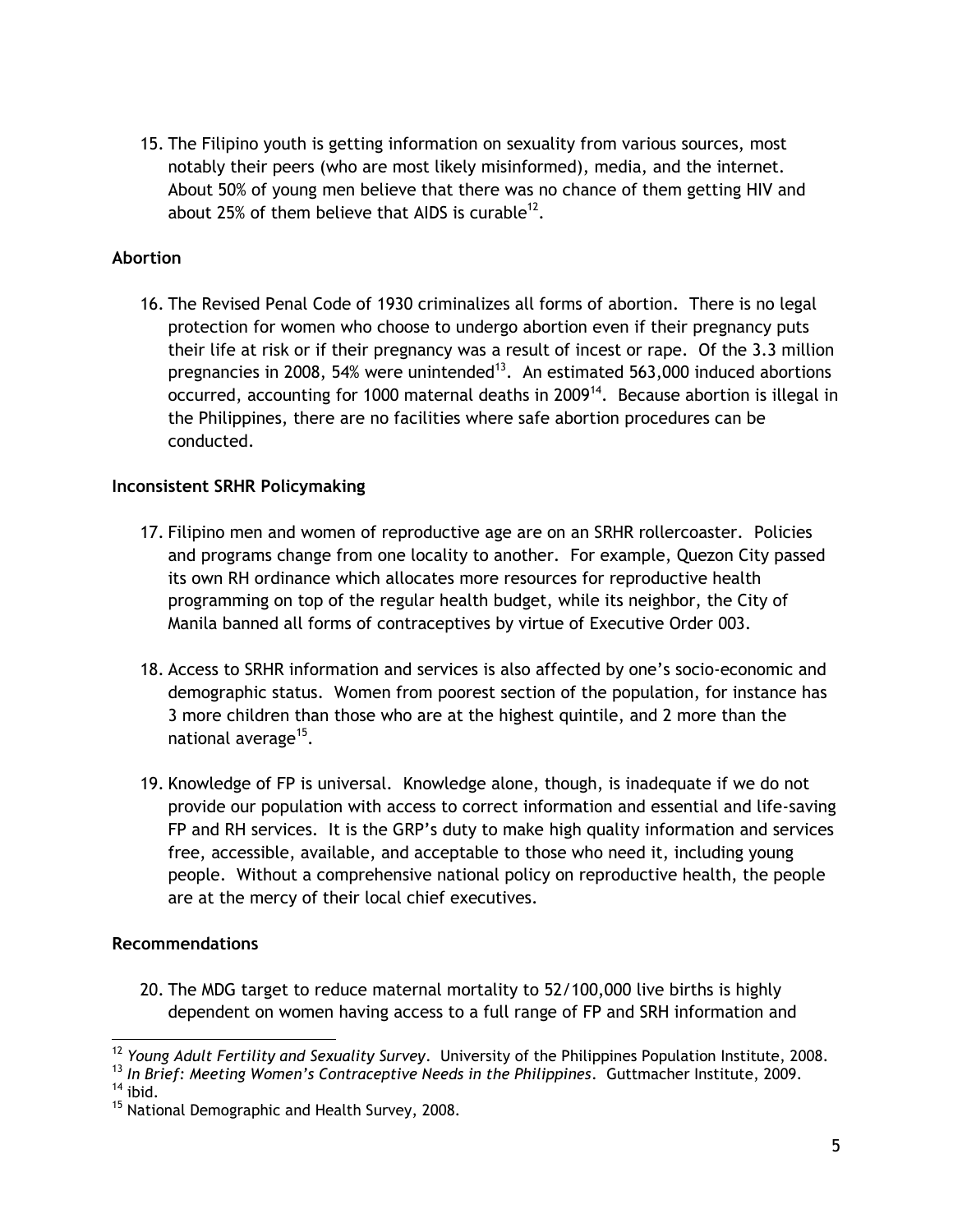15. The Filipino youth is getting information on sexuality from various sources, most notably their peers (who are most likely misinformed), media, and the internet. About 50% of young men believe that there was no chance of them getting HIV and about 25% of them believe that AIDS is curable $^{12}$ .

### **Abortion**

16. The Revised Penal Code of 1930 criminalizes all forms of abortion. There is no legal protection for women who choose to undergo abortion even if their pregnancy puts their life at risk or if their pregnancy was a result of incest or rape. Of the 3.3 million pregnancies in 2008, 54% were unintended<sup>13</sup>. An estimated 563,000 induced abortions occurred, accounting for 1000 maternal deaths in 2009<sup>14</sup>. Because abortion is illegal in the Philippines, there are no facilities where safe abortion procedures can be conducted.

#### **Inconsistent SRHR Policymaking**

- 17. Filipino men and women of reproductive age are on an SRHR rollercoaster. Policies and programs change from one locality to another. For example, Quezon City passed its own RH ordinance which allocates more resources for reproductive health programming on top of the regular health budget, while its neighbor, the City of Manila banned all forms of contraceptives by virtue of Executive Order 003.
- 18. Access to SRHR information and services is also affected by one's socio-economic and demographic status. Women from poorest section of the population, for instance has 3 more children than those who are at the highest quintile, and 2 more than the national average<sup>15</sup>.
- 19. Knowledge of FP is universal. Knowledge alone, though, is inadequate if we do not provide our population with access to correct information and essential and life-saving FP and RH services. It is the GRP's duty to make high quality information and services free, accessible, available, and acceptable to those who need it, including young people. Without a comprehensive national policy on reproductive health, the people are at the mercy of their local chief executives.

#### **Recommendations**

20. The MDG target to reduce maternal mortality to 52/100,000 live births is highly dependent on women having access to a full range of FP and SRH information and

 $14$  ibid.

 <sup>12</sup> *Young Adult Fertility and Sexuality Survey*. University of the Philippines Population Institute, 2008.

<sup>13</sup> *In Brief: Meeting Women's Contraceptive Needs in the Philippines*. Guttmacher Institute, 2009.

<sup>&</sup>lt;sup>15</sup> National Demographic and Health Survey, 2008.